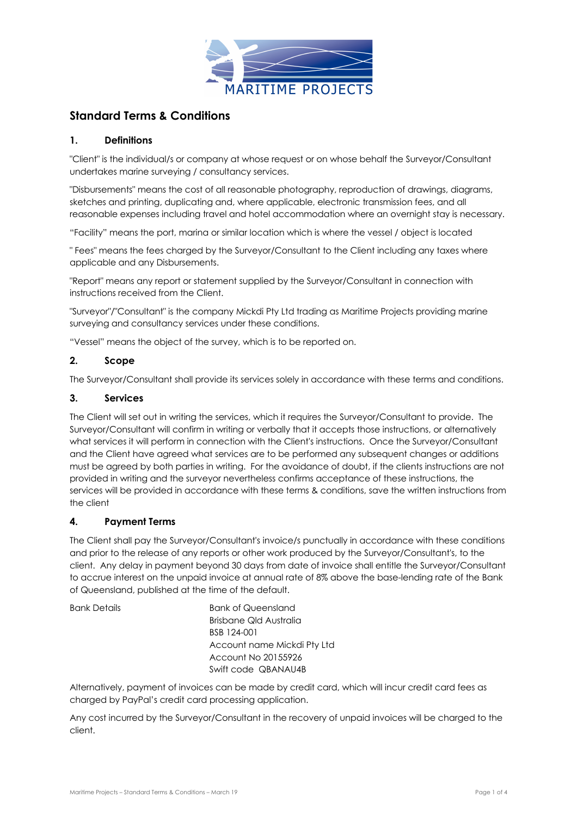

# **Standard Terms & Conditions**

## **1. Definitions**

"Client" is the individual/s or company at whose request or on whose behalf the Surveyor/Consultant undertakes marine surveying / consultancy services.

"Disbursements" means the cost of all reasonable photography, reproduction of drawings, diagrams, sketches and printing, duplicating and, where applicable, electronic transmission fees, and all reasonable expenses including travel and hotel accommodation where an overnight stay is necessary.

"Facility" means the port, marina or similar location which is where the vessel / object is located

" Fees" means the fees charged by the Surveyor/Consultant to the Client including any taxes where applicable and any Disbursements.

"Report" means any report or statement supplied by the Surveyor/Consultant in connection with instructions received from the Client.

"Surveyor"/"Consultant" is the company Mickdi Pty Ltd trading as Maritime Projects providing marine surveying and consultancy services under these conditions.

"Vessel" means the object of the survey, which is to be reported on.

#### **2. Scope**

The Surveyor/Consultant shall provide its services solely in accordance with these terms and conditions.

## **3. Services**

The Client will set out in writing the services, which it requires the Surveyor/Consultant to provide. The Surveyor/Consultant will confirm in writing or verbally that it accepts those instructions, or alternatively what services it will perform in connection with the Client's instructions. Once the Surveyor/Consultant and the Client have agreed what services are to be performed any subsequent changes or additions must be agreed by both parties in writing. For the avoidance of doubt, if the clients instructions are not provided in writing and the surveyor nevertheless confirms acceptance of these instructions, the services will be provided in accordance with these terms & conditions, save the written instructions from the client

#### **4. Payment Terms**

The Client shall pay the Surveyor/Consultant's invoice/s punctually in accordance with these conditions and prior to the release of any reports or other work produced by the Surveyor/Consultant's, to the client. Any delay in payment beyond 30 days from date of invoice shall entitle the Surveyor/Consultant to accrue interest on the unpaid invoice at annual rate of 8% above the base-lending rate of the Bank of Queensland, published at the time of the default.

Bank Details Bank of Queensland Brisbane Qld Australia BSB 124-001 Account name Mickdi Pty Ltd Account No 20155926 Swift code QBANAU4B

Alternatively, payment of invoices can be made by credit card, which will incur credit card fees as charged by PayPal's credit card processing application.

Any cost incurred by the Surveyor/Consultant in the recovery of unpaid invoices will be charged to the client.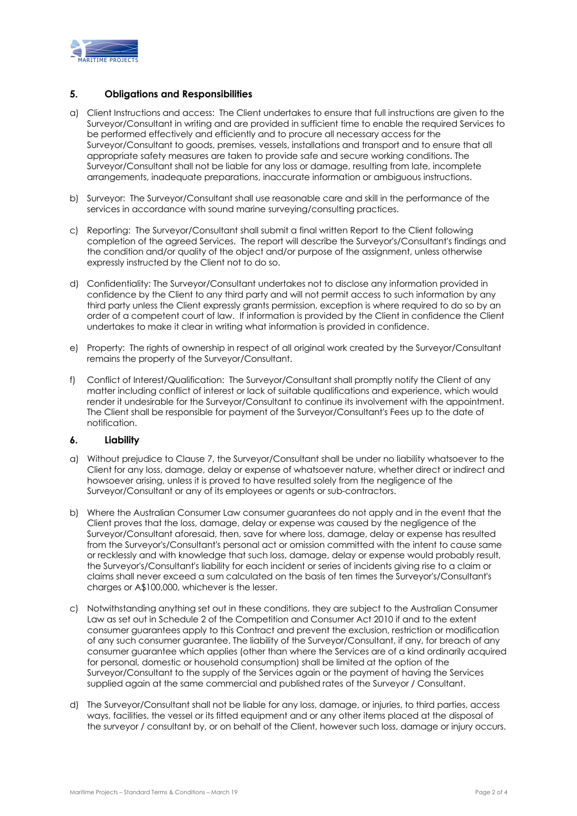

#### **5. Obligations and Responsibilities**

- a) Client Instructions and access: The Client undertakes to ensure that full instructions are given to the Surveyor/Consultant in writing and are provided in sufficient time to enable the required Services to be performed effectively and efficiently and to procure all necessary access for the Surveyor/Consultant to goods, premises, vessels, installations and transport and to ensure that all appropriate safety measures are taken to provide safe and secure working conditions. The Surveyor/Consultant shall not be liable for any loss or damage, resulting from late, incomplete arrangements, inadequate preparations, inaccurate information or ambiguous instructions.
- b) Surveyor: The Surveyor/Consultant shall use reasonable care and skill in the performance of the services in accordance with sound marine surveying/consulting practices.
- c) Reporting: The Surveyor/Consultant shall submit a final written Report to the Client following completion of the agreed Services. The report will describe the Surveyor's/Consultant's findings and the condition and/or quality of the object and/or purpose of the assignment, unless otherwise expressly instructed by the Client not to do so.
- d) Confidentiality: The Surveyor/Consultant undertakes not to disclose any information provided in confidence by the Client to any third party and will not permit access to such information by any third party unless the Client expressly grants permission, exception is where required to do so by an order of a competent court of law. If information is provided by the Client in confidence the Client undertakes to make it clear in writing what information is provided in confidence.
- e) Property: The rights of ownership in respect of all original work created by the Surveyor/Consultant remains the property of the Surveyor/Consultant.
- f) Conflict of Interest/Qualification: The Surveyor/Consultant shall promptly notify the Client of any matter including conflict of interest or lack of suitable qualifications and experience, which would render it undesirable for the Surveyor/Consultant to continue its involvement with the appointment. The Client shall be responsible for payment of the Surveyor/Consultant's Fees up to the date of notification.

## **6. Liability**

- a) Without prejudice to Clause 7, the Surveyor/Consultant shall be under no liability whatsoever to the Client for any loss, damage, delay or expense of whatsoever nature, whether direct or indirect and howsoever arising, unless it is proved to have resulted solely from the negligence of the Surveyor/Consultant or any of its employees or agents or sub-contractors.
- b) Where the Australian Consumer Law consumer guarantees do not apply and in the event that the Client proves that the loss, damage, delay or expense was caused by the negligence of the Surveyor/Consultant aforesaid, then, save for where loss, damage, delay or expense has resulted from the Surveyor's/Consultant's personal act or omission committed with the intent to cause same or recklessly and with knowledge that such loss, damage, delay or expense would probably result, the Surveyor's/Consultant's liability for each incident or series of incidents giving rise to a claim or claims shall never exceed a sum calculated on the basis of ten times the Surveyor's/Consultant's charges or A\$100,000, whichever is the lesser.
- c) Notwithstanding anything set out in these conditions, they are subject to the Australian Consumer Law as set out in Schedule 2 of the Competition and Consumer Act 2010 if and to the extent consumer guarantees apply to this Contract and prevent the exclusion, restriction or modification of any such consumer guarantee. The liability of the Surveyor/Consultant, if any, for breach of any consumer guarantee which applies (other than where the Services are of a kind ordinarily acquired for personal, domestic or household consumption) shall be limited at the option of the Surveyor/Consultant to the supply of the Services again or the payment of having the Services supplied again at the same commercial and published rates of the Surveyor / Consultant.
- d) The Surveyor/Consultant shall not be liable for any loss, damage, or injuries, to third parties, access ways, facilities, the vessel or its fitted equipment and or any other items placed at the disposal of the surveyor / consultant by, or on behalf of the Client, however such loss, damage or injury occurs.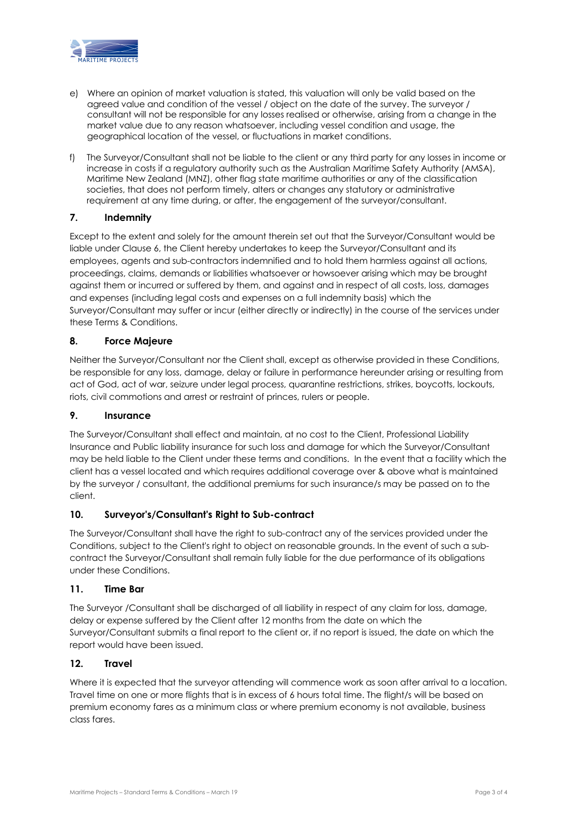

- e) Where an opinion of market valuation is stated, this valuation will only be valid based on the agreed value and condition of the vessel / object on the date of the survey. The surveyor / consultant will not be responsible for any losses realised or otherwise, arising from a change in the market value due to any reason whatsoever, including vessel condition and usage, the geographical location of the vessel, or fluctuations in market conditions.
- f) The Surveyor/Consultant shall not be liable to the client or any third party for any losses in income or increase in costs if a regulatory authority such as the Australian Maritime Safety Authority (AMSA), Maritime New Zealand (MNZ), other flag state maritime authorities or any of the classification societies, that does not perform timely, alters or changes any statutory or administrative requirement at any time during, or after, the engagement of the surveyor/consultant.

## **7. Indemnity**

Except to the extent and solely for the amount therein set out that the Surveyor/Consultant would be liable under Clause 6, the Client hereby undertakes to keep the Surveyor/Consultant and its employees, agents and sub-contractors indemnified and to hold them harmless against all actions, proceedings, claims, demands or liabilities whatsoever or howsoever arising which may be brought against them or incurred or suffered by them, and against and in respect of all costs, loss, damages and expenses (including legal costs and expenses on a full indemnity basis) which the Surveyor/Consultant may suffer or incur (either directly or indirectly) in the course of the services under these Terms & Conditions.

#### **8. Force Majeure**

Neither the Surveyor/Consultant nor the Client shall, except as otherwise provided in these Conditions, be responsible for any loss, damage, delay or failure in performance hereunder arising or resulting from act of God, act of war, seizure under legal process, quarantine restrictions, strikes, boycotts, lockouts, riots, civil commotions and arrest or restraint of princes, rulers or people.

#### **9. Insurance**

The Surveyor/Consultant shall effect and maintain, at no cost to the Client, Professional Liability Insurance and Public liability insurance for such loss and damage for which the Surveyor/Consultant may be held liable to the Client under these terms and conditions. In the event that a facility which the client has a vessel located and which requires additional coverage over & above what is maintained by the surveyor / consultant, the additional premiums for such insurance/s may be passed on to the client.

## **10. Surveyor's/Consultant's Right to Sub-contract**

The Surveyor/Consultant shall have the right to sub-contract any of the services provided under the Conditions, subject to the Client's right to object on reasonable grounds. In the event of such a subcontract the Surveyor/Consultant shall remain fully liable for the due performance of its obligations under these Conditions.

#### **11. Time Bar**

The Surveyor /Consultant shall be discharged of all liability in respect of any claim for loss, damage, delay or expense suffered by the Client after 12 months from the date on which the Surveyor/Consultant submits a final report to the client or, if no report is issued, the date on which the report would have been issued.

#### **12. Travel**

Where it is expected that the surveyor attending will commence work as soon after arrival to a location. Travel time on one or more flights that is in excess of 6 hours total time. The flight/s will be based on premium economy fares as a minimum class or where premium economy is not available, business class fares.